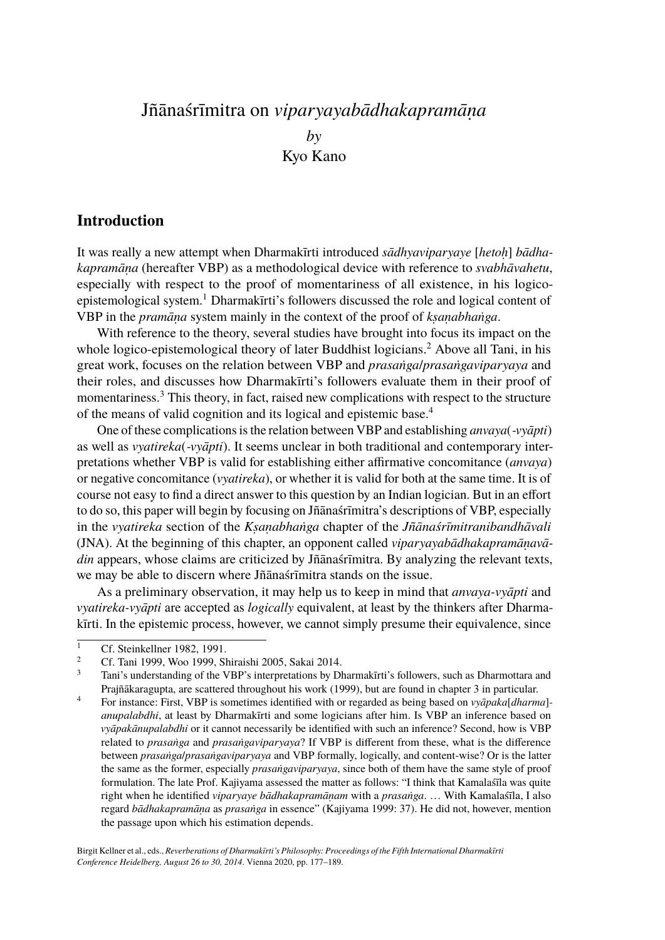# Jñānaśrīmitra on *viparyayabādhakapramāṇa by* Kyo Kano

### **Introduction**

It was really a new attempt when Dharmakīrti introduced *sādhyaviparyaye* [*hetoḥ*] *bādhakapramāṇa* (hereafter VBP) as a methodological device with reference to *svabhāvahetu*, especially with respect to the proof of momentariness of all existence, in his logicoepistemological system.<sup>1</sup> Dharmakīrti's followers discussed the role and logical content of VBP in the *pramāṇa* system mainly in the context of the proof of *kṣaṇabhaṅga*.

With reference to the theory, several studies have brought into focus its impact on the whole logico-epistemological theory of later Buddhist logicians.<sup>2</sup> Above all Tani, in his great work, focuses on the relation between VBP and *prasaṅga*/*prasaṅgaviparyaya* and their roles, and discusses how Dharmakīrti's followers evaluate them in their proof of momentariness.<sup>3</sup> This theory, in fact, raised new complications with respect to the structure of the means of valid cognition and its logical and epistemic base.<sup>4</sup>

One of these complications is the relation between VBP and establishing *anvaya*(*‑vyāpti*) as well as *vyatireka*(*‑vyāpti*). It seems unclear in both traditional and contemporary interpretations whether VBP is valid for establishing either affirmative concomitance (*anvaya*) or negative concomitance (*vyatireka*), or whether it is valid for both at the same time. It is of course not easy to find a direct answer to this question by an Indian logician. But in an effort to do so, this paper will begin by focusing on Jñānaśrīmitra's descriptions of VBP, especially in the *vyatireka* section of the *Kṣaṇabhaṅga* chapter of the *Jñānaśrīmitranibandhāvali* (JNA). At the beginning of this chapter, an opponent called *viparyayabādhakapramāṇavādin* appears, whose claims are criticized by Jñānaśrīmitra. By analyzing the relevant texts, we may be able to discern where Jñānaśrīmitra stands on the issue.

As a preliminary observation, it may help us to keep in mind that *anvaya-vyāpti* and *vyatireka-vyāpti* are accepted as *logically* equivalent, at least by the thinkers after Dharmakīrti. In the epistemic process, however, we cannot simply presume their equivalence, since

<sup>&</sup>lt;sup>1</sup> Cf. Steinkellner 1982, 1991.

<sup>&</sup>lt;sup>2</sup> Cf. Tani 1999, Woo 1999, Shiraishi 2005, Sakai 2014.

<sup>3</sup> Tani's understanding of the VBP's interpretations by Dharmakīrti's followers, such as Dharmottara and Prajñākaragupta, are scattered throughout his work (1999), but are found in chapter 3 in particular.

<sup>4</sup> For instance: First, VBP is sometimes identified with or regarded as being based on *vyāpaka*[*dharma*] *anupalabdhi*, at least by Dharmakīrti and some logicians after him. Is VBP an inference based on *vyāpakānupalabdhi* or it cannot necessarily be identified with such an inference? Second, how is VBP related to *prasaṅga* and *prasaṅgaviparyaya*? If VBP is different from these, what is the difference between *prasaṅga*/*prasaṅgaviparyaya* and VBP formally, logically, and content-wise? Or is the latter the same as the former, especially *prasaṅgaviparyaya*, since both of them have the same style of proof formulation. The late Prof. Kajiyama assessed the matter as follows: "I think that Kamalaśīla was quite right when he identified *viparyaye bādhakapramāṇam* with a *prasaṅga*. … With Kamalaśīla, I also regard *bādhakapramāṇa* as *prasaṅga* in essence" (Kajiyama 1999: 37). He did not, however, mention the passage upon which his estimation depends.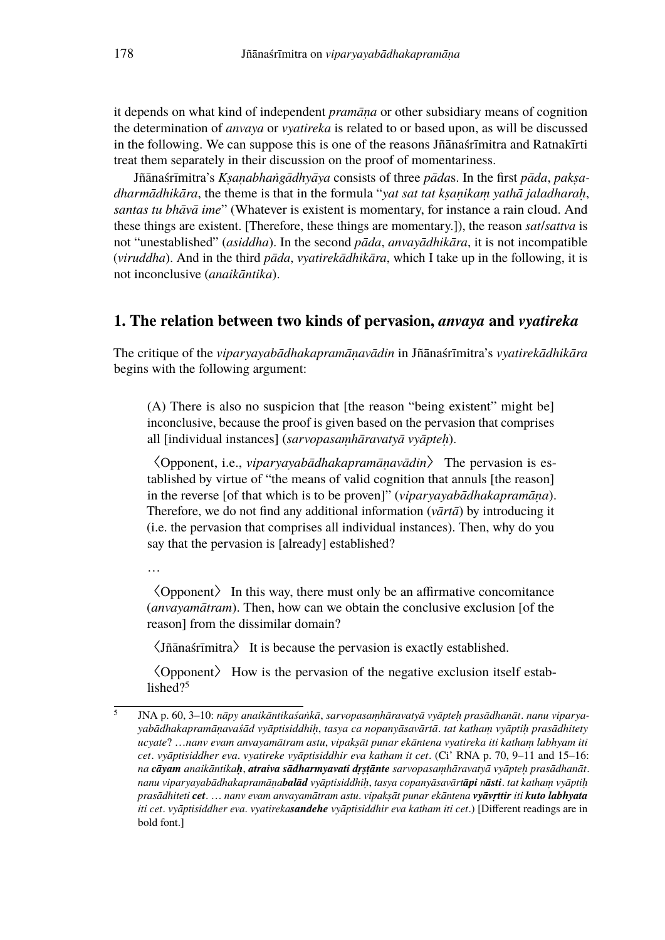it depends on what kind of independent *pramāṇa* or other subsidiary means of cognition the determination of *anvaya* or *vyatireka* is related to or based upon, as will be discussed in the following. We can suppose this is one of the reasons Jñānaśrīmitra and Ratnakīrti treat them separately in their discussion on the proof of momentariness.

Jñānaśrīmitra's *Kṣaṇabhaṅgādhyāya* consists of three *pāda*s. In the first *pāda*, *pakṣadharmādhikāra*, the theme is that in the formula "*yat sat tat kṣaṇikaṃ yathā jaladharaḥ*, *santas tu bhāvā ime*" (Whatever is existent is momentary, for instance a rain cloud. And these things are existent. [Therefore, these things are momentary.]), the reason *sat*/*sattva* is not "unestablished" (*asiddha*). In the second *pāda*, *anvayādhikāra*, it is not incompatible (*viruddha*). And in the third *pāda*, *vyatirekādhikāra*, which I take up in the following, it is not inconclusive (*anaikāntika*).

#### **1. The relation between two kinds of pervasion,** *anvaya* **and** *vyatireka*

The critique of the *viparyayabādhakapramāṇavādin* in Jñānaśrīmitra's *vyatirekādhikāra* begins with the following argument:

(A) There is also no suspicion that [the reason "being existent" might be] inconclusive, because the proof is given based on the pervasion that comprises all [individual instances] (*sarvopasaṃhāravatyā vyāpteḥ*).

〈Opponent, i.e., *viparyayabādhakapramāṇavādin*〉 The pervasion is established by virtue of "the means of valid cognition that annuls [the reason] in the reverse [of that which is to be proven]" (*viparyayabādhakapramāṇa*). Therefore, we do not find any additional information (*vārtā*) by introducing it (i.e. the pervasion that comprises all individual instances). Then, why do you say that the pervasion is [already] established?

…

 $\overline{5}$ 

〈Opponent〉 In this way, there must only be an affirmative concomitance (*anvayamātram*). Then, how can we obtain the conclusive exclusion [of the reason] from the dissimilar domain?

〈Jñānaśrīmitra〉 It is because the pervasion is exactly established.

〈Opponent〉 How is the pervasion of the negative exclusion itself established?<sup>5</sup>

JNA p. 60, 3–10: *nāpy anaikāntikaśaṅkā*, *sarvopasaṃhāravatyā vyāpteḥ prasādhanāt*. *nanu viparyayabādhakapramāṇavaśād vyāptisiddhiḥ*, *tasya ca nopanyāsavārtā*. *tat kathaṃ vyāptiḥ prasādhitety ucyate*? …*nanv evam anvayamātram astu*, *vipakṣāt punar ekāntena vyatireka iti kathaṃ labhyam iti cet*. *vyāptisiddher eva*. *vyatireke vyāptisiddhir eva katham it cet*. (Ci' RNA p. 70, 9–11 and 15–16: *na cāyam anaikāntikaḥ*, *atraiva sādharmyavati dṛṣṭānte sarvopasaṃhāravatyā vyāpteḥ prasādhanāt*. *nanu viparyayabādhakapramāṇabalād vyāptisiddhiḥ*, *tasya copanyāsavārtāpi nāsti*. *tat kathaṃ vyāptiḥ prasādhiteti cet*. … *nanv evam anvayamātram astu*. *vipakṣāt punar ekāntena vyāvṛttir iti kuto labhyata iti cet*. *vyāptisiddher eva*. *vyatirekasandehe vyāptisiddhir eva katham iti cet*.) [Different readings are in bold font.]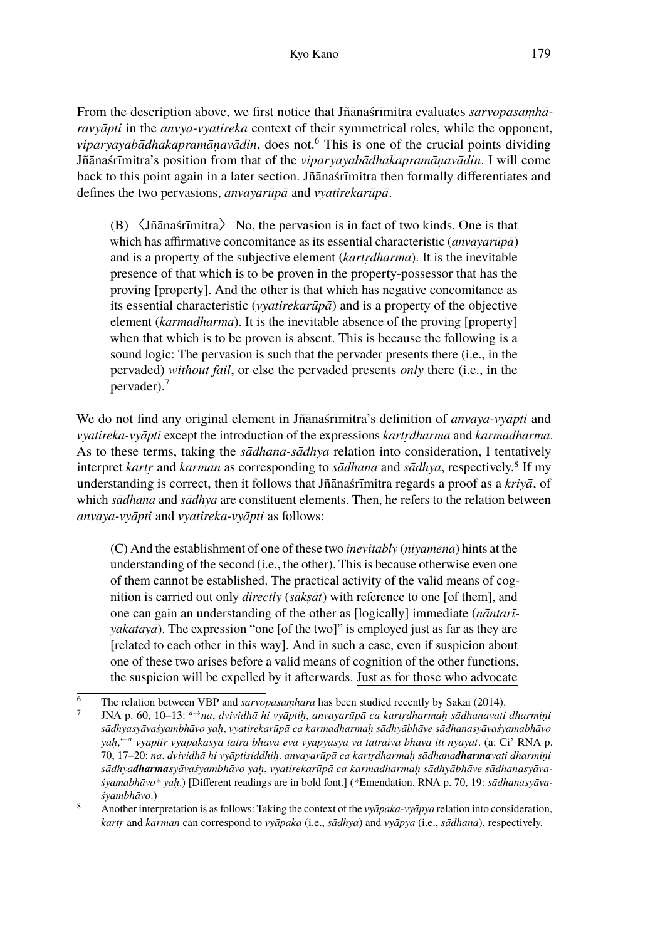From the description above, we first notice that Jñānaśrīmitra evaluates *sarvopasaṃhāravyāpti* in the *anvya-vyatireka* context of their symmetrical roles, while the opponent, *viparyayabādhakapramāṇavādin*, does not.<sup>6</sup> This is one of the crucial points dividing Jñānaśrīmitra's position from that of the *viparyayabādhakapramāṇavādin*. I will come back to this point again in a later section. Jñānaśrīmitra then formally differentiates and defines the two pervasions, *anvayarūpā* and *vyatirekarūpā*.

(B) 〈Jñānaśrīmitra〉 No, the pervasion is in fact of two kinds. One is that which has affirmative concomitance as its essential characteristic (*anvayarūpā*) and is a property of the subjective element (*kartṛdharma*). It is the inevitable presence of that which is to be proven in the property-possessor that has the proving [property]. And the other is that which has negative concomitance as its essential characteristic (*vyatirekarūpā*) and is a property of the objective element (*karmadharma*). It is the inevitable absence of the proving [property] when that which is to be proven is absent. This is because the following is a sound logic: The pervasion is such that the pervader presents there (i.e., in the pervaded) *without fail*, or else the pervaded presents *only* there (i.e., in the pervader).<sup>7</sup>

We do not find any original element in Jñānaśrīmitra's definition of *anvaya-vyāpti* and *vyatireka-vyāpti* except the introduction of the expressions *kartṛdharma* and *karmadharma*. As to these terms, taking the *sādhana-sādhya* relation into consideration, I tentatively interpret *kartṛ* and *karman* as corresponding to *sādhana* and *sādhya*, respectively.<sup>8</sup> If my understanding is correct, then it follows that Jñānaśrīmitra regards a proof as a *kriyā*, of which *sādhana* and *sādhya* are constituent elements. Then, he refers to the relation between *anvaya-vyāpti* and *vyatireka-vyāpti* as follows:

(C) And the establishment of one of these two *inevitably* (*niyamena*) hints at the understanding of the second (i.e., the other). This is because otherwise even one of them cannot be established. The practical activity of the valid means of cognition is carried out only *directly* (*sākṣāt*) with reference to one [of them], and one can gain an understanding of the other as [logically] immediate (*nāntarīyakatayā*). The expression "one [of the two]" is employed just as far as they are [related to each other in this way]. And in such a case, even if suspicion about one of these two arises before a valid means of cognition of the other functions, the suspicion will be expelled by it afterwards. Just as for those who advocate

The relation between VBP and *sarvopasamhāra* has been studied recently by Sakai (2014).

<sup>7</sup> JNA p. 60, 10–13: *a→na*, *dvividhā hi vyāptiḥ*, *anvayarūpā ca kartṛdharmaḥ sādhanavati dharmiṇi sādhyasyāvaśyambhāvo yaḥ*, *vyatirekarūpā ca karmadharmaḥ sādhyābhāve sādhanasyāvaśyamabhāvo yaḥ*, *←a vyāptir vyāpakasya tatra bhāva eva vyāpyasya vā tatraiva bhāva iti nyāyāt*. (a: Ci' RNA p. 70, 17–20: *na*. *dvividhā hi vyāptisiddhiḥ*. *anvayarūpā ca kartṛdharmaḥ sādhanadharmavati dharmiṇi sādhyadharmasyāvaśyambhāvo yaḥ*, *vyatirekarūpā ca karmadharmaḥ sādhyābhāve sādhanasyāvaśyamabhāvo\* yaḥ*.) [Different readings are in bold font.] (*\**Emendation. RNA p. 70, 19: *sādhanasyāvaśyambhāvo*.)

<sup>8</sup> Another interpretation is as follows: Taking the context of the *vyāpaka-vyāpya* relation into consideration, *kartṛ* and *karman* can correspond to *vyāpaka* (i.e., *sādhya*) and *vyāpya* (i.e., *sādhana*), respectively.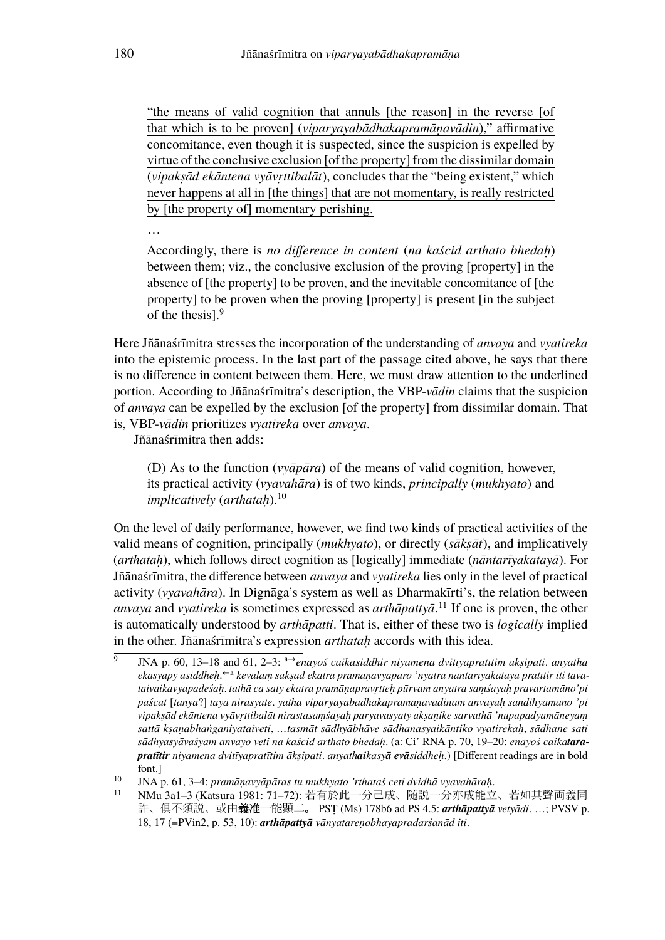"the means of valid cognition that annuls [the reason] in the reverse [of that which is to be proven] (*viparyayabādhakapramāṇavādin*)," affirmative concomitance, even though it is suspected, since the suspicion is expelled by virtue of the conclusive exclusion [of the property] from the dissimilar domain (*vipakṣād ekāntena vyāvṛttibalāt*), concludes that the "being existent," which never happens at all in [the things] that are not momentary, is really restricted by [the property of] momentary perishing.

Accordingly, there is *no difference in content* (*na kaścid arthato bhedaḥ*) between them; viz., the conclusive exclusion of the proving [property] in the absence of [the property] to be proven, and the inevitable concomitance of [the property] to be proven when the proving [property] is present [in the subject of the thesis].<sup>9</sup>

Here Jñānaśrīmitra stresses the incorporation of the understanding of *anvaya* and *vyatireka* into the epistemic process. In the last part of the passage cited above, he says that there is no difference in content between them. Here, we must draw attention to the underlined portion. According to Jñānaśrīmitra's description, the VBP-*vādin* claims that the suspicion of *anvaya* can be expelled by the exclusion [of the property] from dissimilar domain. That is, VBP-*vādin* prioritizes *vyatireka* over *anvaya*.

Jñānaśrīmitra then adds:

(D) As to the function (*vyāpāra*) of the means of valid cognition, however, its practical activity (*vyavahāra*) is of two kinds, *principally* (*mukhyato*) and *implicatively* (*arthatah*).<sup>10</sup>

On the level of daily performance, however, we find two kinds of practical activities of the valid means of cognition, principally (*mukhyato*), or directly (*sākṣāt*), and implicatively (*arthataḥ*), which follows direct cognition as [logically] immediate (*nāntarīyakatayā*). For Jñānaśrīmitra, the difference between *anvaya* and *vyatireka* lies only in the level of practical activity (*vyavahāra*). In Dignāga's system as well as Dharmakīrti's, the relation between *anvaya* and *vyatireka* is sometimes expressed as *arthāpattyā*. <sup>11</sup> If one is proven, the other is automatically understood by *arthāpatti*. That is, either of these two is *logically* implied in the other. Jñānaśrīmitra's expression *arthataḥ* accords with this idea.

…

 $\overline{9}$ JNA p. 60, 13–18 and 61, 2–3: a→*enayoś caikasiddhir niyamena dvitīyapratītim ākṣipati*. *anyathā* ekasyāpy asiddheḥ.<sup>←a</sup> kevalaṃ sākṣād ekatra pramāṇavyāpāro 'nyatra nāntarīyakatayā pratītir iti tāva*taivaikavyapadeśaḥ*. *tathā ca saty ekatra pramāṇapravṛtteḥ pūrvam anyatra saṃśayaḥ pravartamāno'pi paścāt* [*tanyā*?] *tayā nirasyate*. *yathā viparyayabādhakapramāṇavādinām anvayaḥ sandihyamāno 'pi vipakṣād ekāntena vyāvṛttibalāt nirastasaṃśayaḥ paryavasyaty akṣaṇike sarvathā 'nupapadyamāneyaṃ sattā kṣaṇabhaṅganiyataiveti*, *…tasmāt sādhyābhāve sādhanasyaikāntiko vyatirekaḥ*, *sādhane sati sādhyasyāvaśyam anvayo veti na kaścid arthato bhedaḥ*. (a: Ci' RNA p. 70, 19–20: *enayoś caikatarapratītir niyamena dvitīyapratītim ākṣipati*. *anyathaikasyā evāsiddheḥ*.) [Different readings are in bold font.]

<sup>10</sup> JNA p. 61, 3–4: *pramāṇavyāpāras tu mukhyato 'rthataś ceti dvidhā vyavahāraḥ*.

<sup>11</sup> NMu 3a1–3 (Katsura 1981: 71–72): 若有於此一分己成、随説一分亦成能立、若如其聲両義同 許、俱不須説、或由義准一能顕二。 PSṬ (Ms) 178b6 ad PS 4.5: *arthāpattyā vetyādi*. …; PVSV p. 18, 17 (=PVin2, p. 53, 10): *arthāpattyā vānyatareṇobhayapradarśanād iti*.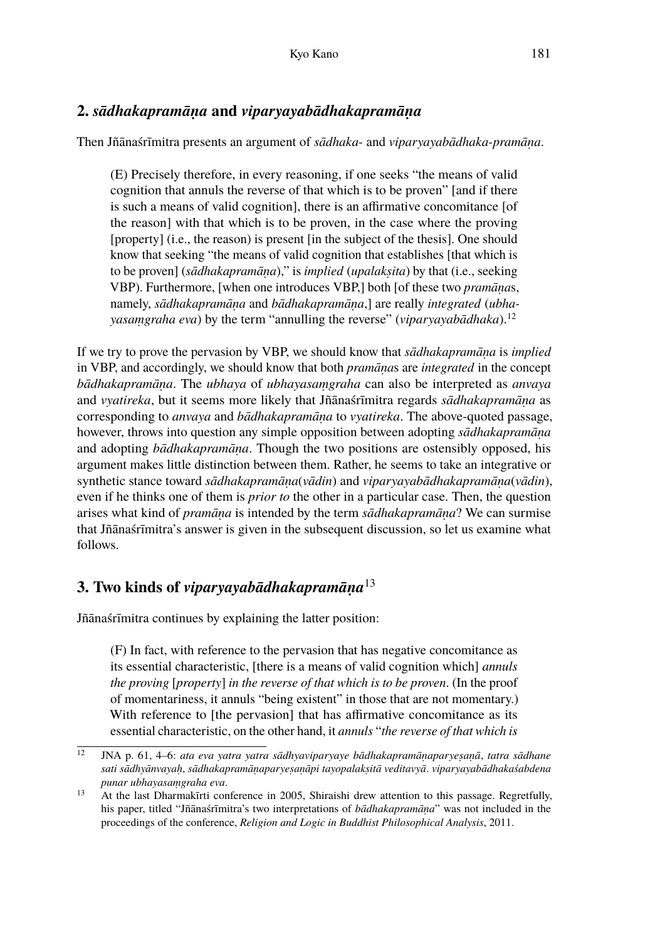## **2.** *sādhakapramāṇa* **and** *viparyayabādhakapramāṇa*

Then Jñānaśrīmitra presents an argument of *sādhaka-* and *viparyayabādhaka-pramāṇa*.

(E) Precisely therefore, in every reasoning, if one seeks "the means of valid cognition that annuls the reverse of that which is to be proven" [and if there is such a means of valid cognition], there is an affirmative concomitance [of the reason] with that which is to be proven, in the case where the proving [property] (i.e., the reason) is present [in the subject of the thesis]. One should know that seeking "the means of valid cognition that establishes [that which is to be proven] (*sādhakapramāṇa*)," is *implied* (*upalakṣita*) by that (i.e., seeking VBP). Furthermore, [when one introduces VBP,] both [of these two *pramāṇa*s, namely, *sādhakapramāṇa* and *bādhakapramāṇa*,] are really *integrated* (*ubhayasaṃgraha eva*) by the term "annulling the reverse" (*viparyayabādhaka*).<sup>12</sup>

If we try to prove the pervasion by VBP, we should know that *sādhakapramāṇa* is *implied* in VBP, and accordingly, we should know that both *pramāṇa*s are *integrated* in the concept *bādhakapramāṇa*. The *ubhaya* of *ubhayasaṃgraha* can also be interpreted as *anvaya* and *vyatireka*, but it seems more likely that Jñānaśrīmitra regards *sādhakapramāṇa* as corresponding to *anvaya* and *bādhakapramāṇa* to *vyatireka*. The above-quoted passage, however, throws into question any simple opposition between adopting *sādhakapramāṇa* and adopting *bādhakapramāṇa*. Though the two positions are ostensibly opposed, his argument makes little distinction between them. Rather, he seems to take an integrative or synthetic stance toward *sādhakapramāṇa*(*vādin*) and *viparyayabādhakapramāṇa*(*vādin*), even if he thinks one of them is *prior to* the other in a particular case. Then, the question arises what kind of *pramāṇa* is intended by the term *sādhakapramāṇa*? We can surmise that Jñānaśrīmitra's answer is given in the subsequent discussion, so let us examine what follows.

## **3. Two kinds of** *viparyayabādhakapramāṇa*<sup>13</sup>

Jñānaśrīmitra continues by explaining the latter position:

(F) In fact, with reference to the pervasion that has negative concomitance as its essential characteristic, [there is a means of valid cognition which] *annuls the proving* [*property*] *in the reverse of that which is to be proven*. (In the proof of momentariness, it annuls "being existent" in those that are not momentary.) With reference to [the pervasion] that has affirmative concomitance as its essential characteristic, on the other hand, it *annuls* "*the reverse of that which is*

<sup>12</sup> JNA p. 61, 4–6: *ata eva yatra yatra sādhyaviparyaye bādhakapramāṇaparyeṣaṇā*, *tatra sādhane sati sādhyānvayaḥ*, *sādhakapramāṇaparyeṣaṇāpi tayopalakṣitā veditavyā*. *viparyayabādhakaśabdena punar ubhayasaṃgraha eva*.

<sup>&</sup>lt;sup>13</sup> At the last Dharmakīrti conference in 2005, Shiraishi drew attention to this passage. Regretfully, his paper, titled "Jñānaśrīmitra's two interpretations of *bādhakapramāṇa*" was not included in the proceedings of the conference, *Religion and Logic in Buddhist Philosophical Analysis*, 2011.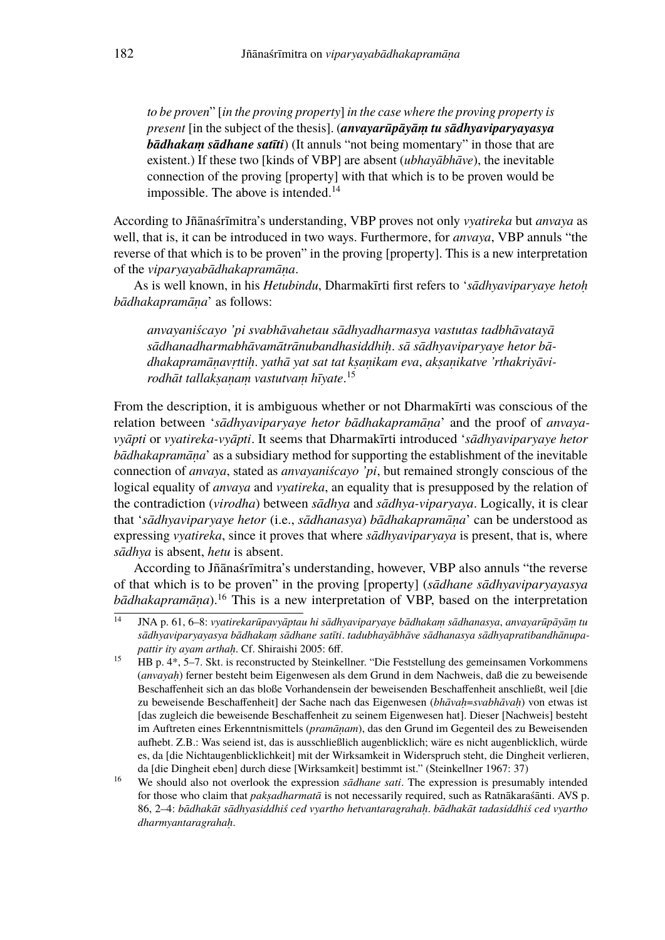*to be proven*" [*in the proving property*] *in the case where the proving property is present* [in the subject of the thesis]. (*anvayarūpāyāṃ tu sādhyaviparyayasya bādhakaṃ sādhane satīti*) (It annuls "not being momentary" in those that are existent.) If these two [kinds of VBP] are absent (*ubhayābhāve*), the inevitable connection of the proving [property] with that which is to be proven would be impossible. The above is intended. $14$ 

According to Jñānaśrīmitra's understanding, VBP proves not only *vyatireka* but *anvaya* as well, that is, it can be introduced in two ways. Furthermore, for *anvaya*, VBP annuls "the reverse of that which is to be proven" in the proving [property]. This is a new interpretation of the *viparyayabādhakapramāṇa*.

As is well known, in his *Hetubindu*, Dharmakīrti first refers to '*sādhyaviparyaye hetoḥ bādhakapramāṇa*' as follows:

*anvayaniścayo 'pi svabhāvahetau sādhyadharmasya vastutas tadbhāvatayā sādhanadharmabhāvamātrānubandhasiddhiḥ*. *sā sādhyaviparyaye hetor bādhakapramāṇavṛttiḥ*. *yathā yat sat tat kṣaṇikam eva*, *akṣaṇikatve 'rthakriyāvirodhāt tallakṣaṇaṃ vastutvaṃ hīyate*. 15

From the description, it is ambiguous whether or not Dharmakīrti was conscious of the relation between '*sādhyaviparyaye hetor bādhakapramāṇa*' and the proof of *anvayavyāpti* or *vyatireka-vyāpti*. It seems that Dharmakīrti introduced '*sādhyaviparyaye hetor bādhakapramāṇa*' as a subsidiary method for supporting the establishment of the inevitable connection of *anvaya*, stated as *anvayaniścayo 'pi*, but remained strongly conscious of the logical equality of *anvaya* and *vyatireka*, an equality that is presupposed by the relation of the contradiction (*virodha*) between *sādhya* and *sādhya-viparyaya*. Logically, it is clear that '*sādhyaviparyaye hetor* (i.e., *sādhanasya*) *bādhakapramāṇa*' can be understood as expressing *vyatireka*, since it proves that where *sādhyaviparyaya* is present, that is, where *sādhya* is absent, *hetu* is absent.

According to Jñānaśrīmitra's understanding, however, VBP also annuls "the reverse of that which is to be proven" in the proving [property] (*sādhane sādhyaviparyayasya bādhakapramāna*).<sup>16</sup> This is a new interpretation of VBP, based on the interpretation

<sup>14</sup> JNA p. 61, 6–8: *vyatirekarūpavyāptau hi sādhyaviparyaye bādhakaṃ sādhanasya*, *anvayarūpāyāṃ tu sādhyaviparyayasya bādhakaṃ sādhane satīti*. *tadubhayābhāve sādhanasya sādhyapratibandhānupapattir ity ayam arthaḥ*. Cf. Shiraishi 2005: 6ff.

<sup>15</sup> HB p. 4\*, 5–7. Skt. is reconstructed by Steinkellner. "Die Feststellung des gemeinsamen Vorkommens (*anvayaḥ*) ferner besteht beim Eigenwesen als dem Grund in dem Nachweis, daß die zu beweisende Beschaffenheit sich an das bloße Vorhandensein der beweisenden Beschaffenheit anschließt, weil [die zu beweisende Beschaffenheit] der Sache nach das Eigenwesen (*bhāvaḥ*=*svabhāvaḥ*) von etwas ist [das zugleich die beweisende Beschaffenheit zu seinem Eigenwesen hat]. Dieser [Nachweis] besteht im Auftreten eines Erkenntnismittels (*pramāṇam*), das den Grund im Gegenteil des zu Beweisenden aufhebt. Z.B.: Was seiend ist, das is ausschließlich augenblicklich; wäre es nicht augenblicklich, würde es, da [die Nichtaugenblicklichkeit] mit der Wirksamkeit in Widerspruch steht, die Dingheit verlieren, da [die Dingheit eben] durch diese [Wirksamkeit] bestimmt ist." (Steinkellner 1967: 37)

<sup>16</sup> We should also not overlook the expression *sādhane sati*. The expression is presumably intended for those who claim that *pakṣadharmatā* is not necessarily required, such as Ratnākaraśānti. AVS p. 86, 2–4: *bādhakāt sādhyasiddhiś ced vyartho hetvantaragrahaḥ*. *bādhakāt tadasiddhiś ced vyartho dharmyantaragrahaḥ*.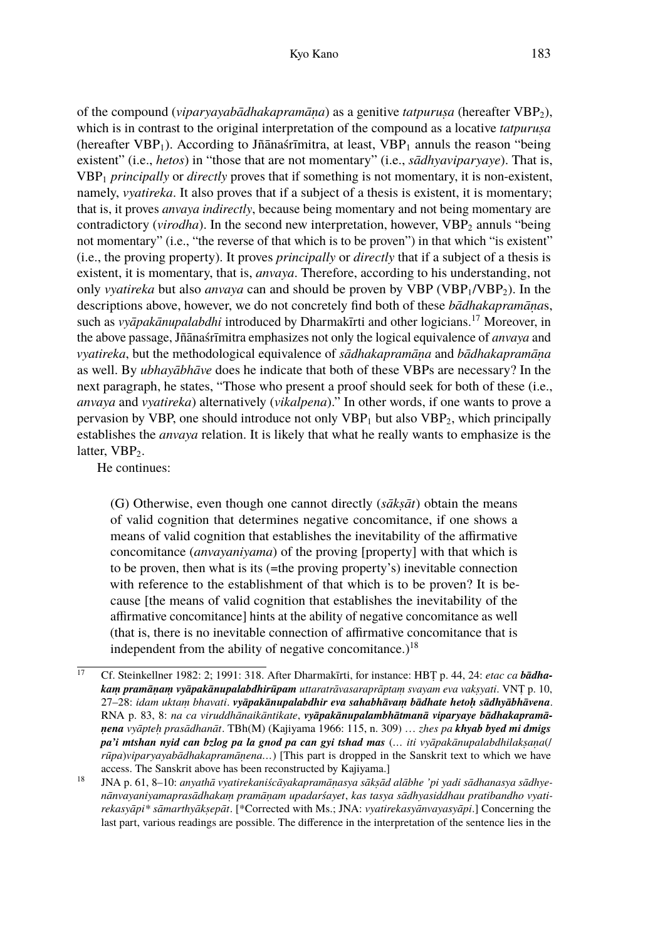of the compound (*viparyayabādhakapramāṇa*) as a genitive *tatpuruṣa* (hereafter VBP2), which is in contrast to the original interpretation of the compound as a locative *tatpurusa* (hereafter  $VBP_1$ ). According to Jñānaśrīmitra, at least,  $VBP_1$  annuls the reason "being" existent" (i.e., *hetos*) in "those that are not momentary" (i.e., *sādhyaviparyaye*). That is, VBP<sup>1</sup> *principally* or *directly* proves that if something is not momentary, it is non-existent, namely, *vyatireka*. It also proves that if a subject of a thesis is existent, it is momentary; that is, it proves *anvaya indirectly*, because being momentary and not being momentary are contradictory (*virodha*). In the second new interpretation, however, VBP<sub>2</sub> annuls "being not momentary" (i.e., "the reverse of that which is to be proven") in that which "is existent" (i.e., the proving property). It proves *principally* or *directly* that if a subject of a thesis is existent, it is momentary, that is, *anvaya*. Therefore, according to his understanding, not only *vyatireka* but also *anvaya* can and should be proven by  $VBP (VBP<sub>1</sub>/VBP<sub>2</sub>)$ . In the descriptions above, however, we do not concretely find both of these *bādhakapramāṇa*s, such as *vyāpakānupalabdhi* introduced by Dharmakīrti and other logicians.<sup>17</sup> Moreover, in the above passage, Jñānaśrīmitra emphasizes not only the logical equivalence of *anvaya* and *vyatireka*, but the methodological equivalence of *sādhakapramāṇa* and *bādhakapramāṇa* as well. By *ubhayābhāve* does he indicate that both of these VBPs are necessary? In the next paragraph, he states, "Those who present a proof should seek for both of these (i.e., *anvaya* and *vyatireka*) alternatively (*vikalpena*)." In other words, if one wants to prove a pervasion by VBP, one should introduce not only  $VBP_1$  but also  $VBP_2$ , which principally establishes the *anvaya* relation. It is likely that what he really wants to emphasize is the latter,  $VBP<sub>2</sub>$ .

He continues:

(G) Otherwise, even though one cannot directly (*sākṣāt*) obtain the means of valid cognition that determines negative concomitance, if one shows a means of valid cognition that establishes the inevitability of the affirmative concomitance (*anvayaniyama*) of the proving [property] with that which is to be proven, then what is its (=the proving property's) inevitable connection with reference to the establishment of that which is to be proven? It is because [the means of valid cognition that establishes the inevitability of the affirmative concomitance] hints at the ability of negative concomitance as well (that is, there is no inevitable connection of affirmative concomitance that is independent from the ability of negative concomitance.)<sup>18</sup>

<sup>17</sup> Cf. Steinkellner 1982: 2; 1991: 318. After Dharmakīrti, for instance: HBṬ p. 44, 24: *etac ca bādhakaṃ pramāṇaṃ vyāpakānupalabdhirūpam uttaratrāvasaraprāptaṃ svayam eva vakṣyati*. VNṬ p. 10, 27–28: *idam uktaṃ bhavati*. *vyāpakānupalabdhir eva sahabhāvaṃ bādhate hetoḥ sādhyābhāvena*. RNA p. 83, 8: *na ca viruddhānaikāntikate*, *vyāpakānupalambhātmanā viparyaye bādhakapramāṇena vyāpteḥ prasādhanāt*. TBh(M) (Kajiyama 1966: 115, n. 309) … *zhes pa khyab byed mi dmigs pa'i mtshan nyid can bzlog pa la gnod pa can gyi tshad mas* (*… iti vyāpakānupalabdhilakṣaṇa*(/ *rūpa*)*viparyayabādhakapramāṇena…*) [This part is dropped in the Sanskrit text to which we have access. The Sanskrit above has been reconstructed by Kajiyama.]

<sup>18</sup> JNA p. 61, 8–10: *anyathā vyatirekaniścāyakapramāṇasya sākṣād alābhe 'pi yadi sādhanasya sādhyenānvayaniyamaprasādhakaṃ pramāṇam upadarśayet*, *kas tasya sādhyasiddhau pratibandho vyatirekasyāpi\* sāmarthyākṣepāt*. [\*Corrected with Ms.; JNA: *vyatirekasyānvayasyāpi*.] Concerning the last part, various readings are possible. The difference in the interpretation of the sentence lies in the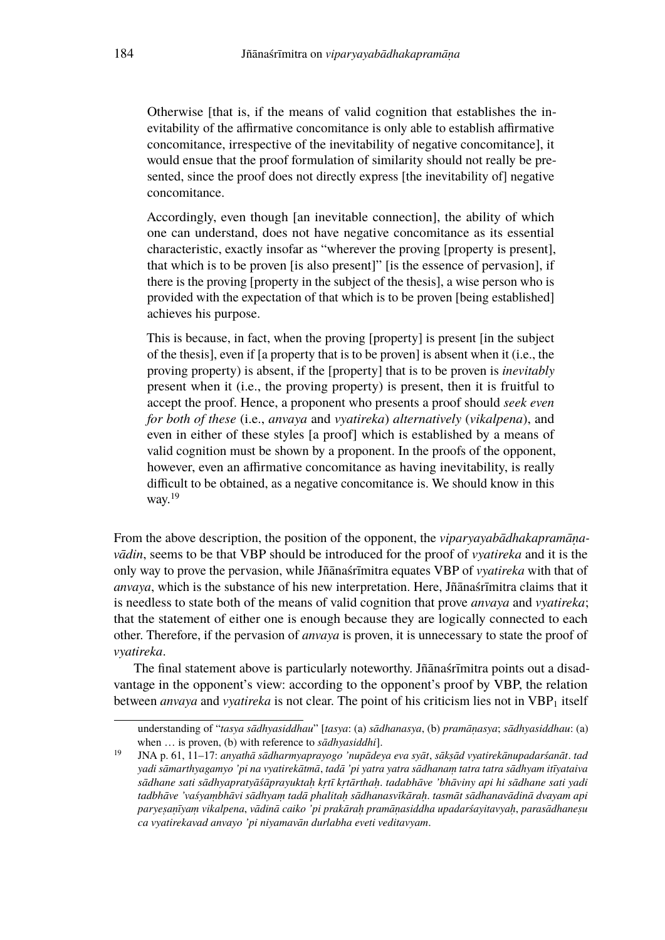Otherwise [that is, if the means of valid cognition that establishes the inevitability of the affirmative concomitance is only able to establish affirmative concomitance, irrespective of the inevitability of negative concomitance], it would ensue that the proof formulation of similarity should not really be presented, since the proof does not directly express [the inevitability of] negative concomitance.

Accordingly, even though [an inevitable connection], the ability of which one can understand, does not have negative concomitance as its essential characteristic, exactly insofar as "wherever the proving [property is present], that which is to be proven [is also present]" [is the essence of pervasion], if there is the proving [property in the subject of the thesis], a wise person who is provided with the expectation of that which is to be proven [being established] achieves his purpose.

This is because, in fact, when the proving [property] is present [in the subject of the thesis], even if [a property that is to be proven] is absent when it (i.e., the proving property) is absent, if the [property] that is to be proven is *inevitably* present when it (i.e., the proving property) is present, then it is fruitful to accept the proof. Hence, a proponent who presents a proof should *seek even for both of these* (i.e., *anvaya* and *vyatireka*) *alternatively* (*vikalpena*), and even in either of these styles [a proof] which is established by a means of valid cognition must be shown by a proponent. In the proofs of the opponent, however, even an affirmative concomitance as having inevitability, is really difficult to be obtained, as a negative concomitance is. We should know in this way. $^{19}$ 

From the above description, the position of the opponent, the *viparyayabādhakapramāṇavādin*, seems to be that VBP should be introduced for the proof of *vyatireka* and it is the only way to prove the pervasion, while Jñānaśrīmitra equates VBP of *vyatireka* with that of *anvaya*, which is the substance of his new interpretation. Here, Jñānaśrīmitra claims that it is needless to state both of the means of valid cognition that prove *anvaya* and *vyatireka*; that the statement of either one is enough because they are logically connected to each other. Therefore, if the pervasion of *anvaya* is proven, it is unnecessary to state the proof of *vyatireka*.

The final statement above is particularly noteworthy. Jñānaśrīmitra points out a disadvantage in the opponent's view: according to the opponent's proof by VBP, the relation between *anvaya* and *vyatireka* is not clear. The point of his criticism lies not in VBP<sub>1</sub> itself

understanding of "*tasya sādhyasiddhau*" [*tasya*: (a) *sādhanasya*, (b) *pramāṇasya*; *sādhyasiddhau*: (a) when … is proven, (b) with reference to *sādhyasiddhi*].

<sup>19</sup> JNA p. 61, 11–17: *anyathā sādharmyaprayogo 'nupādeya eva syāt*, *sākṣād vyatirekānupadarśanāt*. *tad yadi sāmarthyagamyo 'pi na vyatirekātmā*, *tadā 'pi yatra yatra sādhanaṃ tatra tatra sādhyam itīyataiva sādhane sati sādhyapratyāśāprayuktaḥ kṛtī kṛtārthaḥ*. *tadabhāve 'bhāviny api hi sādhane sati yadi tadbhāve 'vaśyaṃbhāvi sādhyaṃ tadā phalitaḥ sādhanasvīkāraḥ*. *tasmāt sādhanavādinā dvayam api paryeṣaṇīyaṃ vikalpena*, *vādinā caiko 'pi prakāraḥ pramāṇasiddha upadarśayitavyaḥ*, *parasādhaneṣu ca vyatirekavad anvayo 'pi niyamavān durlabha eveti veditavyam*.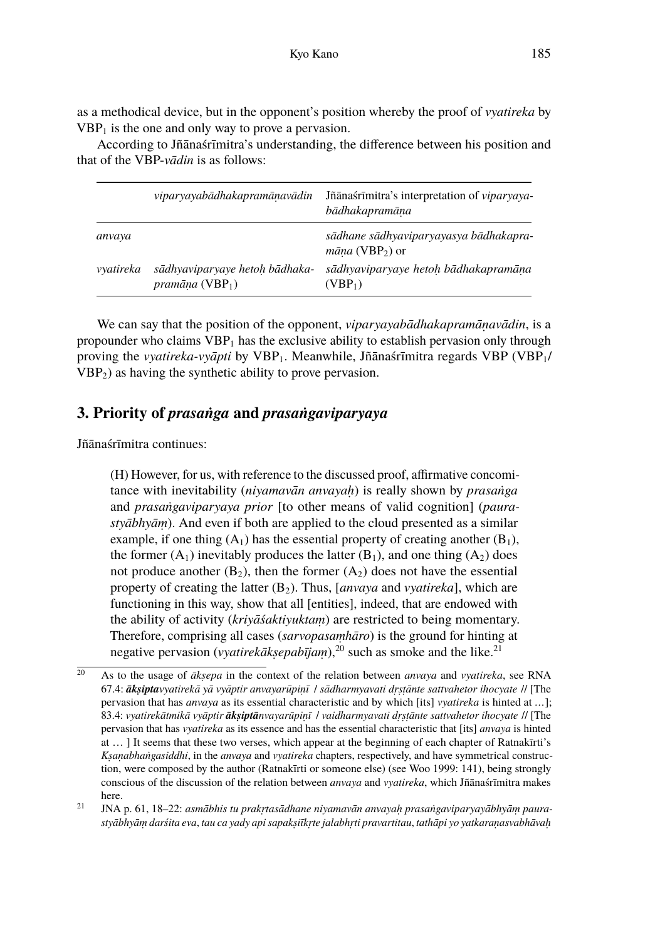as a methodical device, but in the opponent's position whereby the proof of *vyatireka* by  $VBP<sub>1</sub>$  is the one and only way to prove a pervasion.

According to Jñānaśrīmitra's understanding, the difference between his position and that of the VBP-*vādin* is as follows:

|           | viparyayabādhakapramānavādin                                         | Jñānaśrīmitra's interpretation of viparyaya-<br>bādhakapramāna                |
|-----------|----------------------------------------------------------------------|-------------------------------------------------------------------------------|
| anvaya    |                                                                      | sādhane sādhyaviparyayasya bādhakapra-<br>$m\bar{a}na$ (VBP <sub>2</sub> ) or |
| yyatireka | sādhyaviparyaye hetoh bādhaka-<br><i>pramāna</i> (VBP <sub>1</sub> ) | sādhyaviparyaye hetoh bādhakapramāna<br>(VBP <sub>1</sub> )                   |

We can say that the position of the opponent, *viparyayabādhakapramāṇavādin*, is a propounder who claims  $VBP_1$  has the exclusive ability to establish pervasion only through proving the *vyatireka-vyāpti* by VBP1. Meanwhile, Jñānaśrīmitra regards VBP (VBP1/ VBP2) as having the synthetic ability to prove pervasion.

### **3. Priority of** *prasaṅga* **and** *prasaṅgaviparyaya*

Jñānaśrīmitra continues:

(H) However, for us, with reference to the discussed proof, affirmative concomitance with inevitability (*niyamavān anvayaḥ*) is really shown by *prasaṅga* and *prasaṅgaviparyaya prior* [to other means of valid cognition] (*paurastyābhyāṃ*). And even if both are applied to the cloud presented as a similar example, if one thing  $(A_1)$  has the essential property of creating another  $(B_1)$ , the former  $(A_1)$  inevitably produces the latter  $(B_1)$ , and one thing  $(A_2)$  does not produce another  $(B_2)$ , then the former  $(A_2)$  does not have the essential property of creating the latter (B<sub>2</sub>). Thus, [*anvaya* and *vyatireka*], which are functioning in this way, show that all [entities], indeed, that are endowed with the ability of activity (*kriyāśaktiyuktaṃ*) are restricted to being momentary. Therefore, comprising all cases (*sarvopasaṃhāro*) is the ground for hinting at negative pervasion (*vyatirekākṣepabījam*),<sup>20</sup> such as smoke and the like.<sup>21</sup>

<sup>20</sup> As to the usage of *ākṣepa* in the context of the relation between *anvaya* and *vyatireka*, see RNA 67.4: *ākṣiptavyatirekā yā vyāptir anvayarūpiṇī* / *sādharmyavati dṛṣṭānte sattvahetor ihocyate* // [The pervasion that has *anvaya* as its essential characteristic and by which [its] *vyatireka* is hinted at *…*]; 83.4: *vyatirekātmikā vyāptir ākṣiptānvayarūpiṇī* / *vaidharmyavati dṛṣṭānte sattvahetor ihocyate* // [The pervasion that has *vyatireka* as its essence and has the essential characteristic that [its] *anvaya* is hinted at … ] It seems that these two verses, which appear at the beginning of each chapter of Ratnakīrti's *Kṣaṇabhaṅgasiddhi*, in the *anvaya* and *vyatireka* chapters, respectively, and have symmetrical construction, were composed by the author (Ratnakīrti or someone else) (see Woo 1999: 141), being strongly conscious of the discussion of the relation between *anvaya* and *vyatireka*, which Jñānaśrīmitra makes here.

<sup>21</sup> JNA p. 61, 18–22: *asmābhis tu prakṛtasādhane niyamavān anvayaḥ prasaṅgaviparyayābhyāṃ paurastyābhyāṃ darśita eva*, *tau ca yady api sapakṣiīkṛte jalabhṛti pravartitau*, *tathāpi yo yatkaraṇasvabhāvaḥ*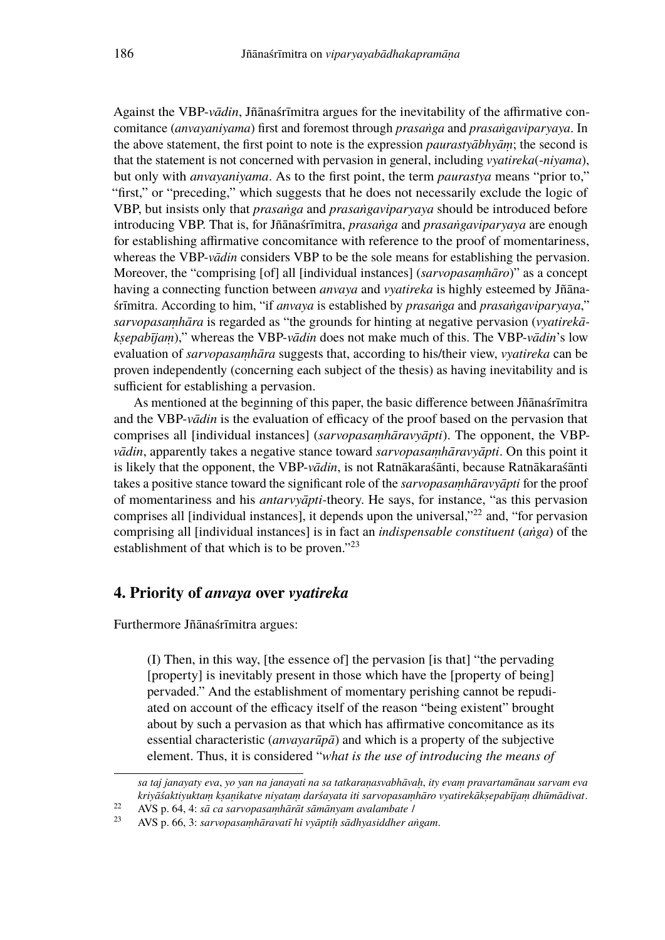Against the VBP-*vādin*, Jñānaśrīmitra argues for the inevitability of the affirmative concomitance (*anvayaniyama*) first and foremost through *prasaṅga* and *prasaṅgaviparyaya*. In the above statement, the first point to note is the expression *paurastyābhyāṃ*; the second is that the statement is not concerned with pervasion in general, including *vyatireka*(-*niyama*), but only with *anvayaniyama*. As to the first point, the term *paurastya* means "prior to," "first," or "preceding," which suggests that he does not necessarily exclude the logic of VBP, but insists only that *prasaṅga* and *prasaṅgaviparyaya* should be introduced before introducing VBP. That is, for Jñānaśrīmitra, *prasaṅga* and *prasaṅgaviparyaya* are enough for establishing affirmative concomitance with reference to the proof of momentariness, whereas the VBP-*vādin* considers VBP to be the sole means for establishing the pervasion. Moreover, the "comprising [of] all [individual instances] (*sarvopasaṃhāro*)" as a concept having a connecting function between *anvaya* and *vyatireka* is highly esteemed by Jñānaśrīmitra. According to him, "if *anvaya* is established by *prasaṅga* and *prasaṅgaviparyaya*," *sarvopasaṃhāra* is regarded as "the grounds for hinting at negative pervasion (*vyatirekākṣepabījaṃ*)," whereas the VBP-*vādin* does not make much of this. The VBP-*vādin*'s low evaluation of *sarvopasaṃhāra* suggests that, according to his/their view, *vyatireka* can be proven independently (concerning each subject of the thesis) as having inevitability and is sufficient for establishing a pervasion.

As mentioned at the beginning of this paper, the basic difference between Jñānaśrīmitra and the VBP-*vādin* is the evaluation of efficacy of the proof based on the pervasion that comprises all [individual instances] (*sarvopasaṃhāravyāpti*). The opponent, the VBP*vādin*, apparently takes a negative stance toward *sarvopasaṃhāravyāpti*. On this point it is likely that the opponent, the VBP-*vādin*, is not Ratnākaraśānti, because Ratnākaraśānti takes a positive stance toward the significant role of the *sarvopasaṃhāravyāpti* for the proof of momentariness and his *antarvyāpti-*theory. He says, for instance, "as this pervasion comprises all [individual instances], it depends upon the universal,"<sup>22</sup> and, "for pervasion comprising all [individual instances] is in fact an *indispensable constituent* (*aṅga*) of the establishment of that which is to be proven."<sup>23</sup>

### **4. Priority of** *anvaya* **over** *vyatireka*

Furthermore Jñānaśrīmitra argues:

(I) Then, in this way, [the essence of] the pervasion [is that] "the pervading [property] is inevitably present in those which have the [property of being] pervaded." And the establishment of momentary perishing cannot be repudiated on account of the efficacy itself of the reason "being existent" brought about by such a pervasion as that which has affirmative concomitance as its essential characteristic (*anvayarūpā*) and which is a property of the subjective element. Thus, it is considered "*what is the use of introducing the means of*

*sa taj janayaty eva*, *yo yan na janayati na sa tatkaraṇasvabhāvaḥ*, *ity evaṃ pravartamānau sarvam eva kriyāśaktiyuktaṃ kṣaṇikatve niyataṃ darśayata iti sarvopasaṃhāro vyatirekākṣepabījaṃ dhūmādivat*.

<sup>22</sup> AVS p. 64, 4: *sā ca sarvopasaṃhārāt sāmānyam avalambate* /

<sup>23</sup> AVS p. 66, 3: *sarvopasaṃhāravatī hi vyāptiḥ sādhyasiddher aṅgam*.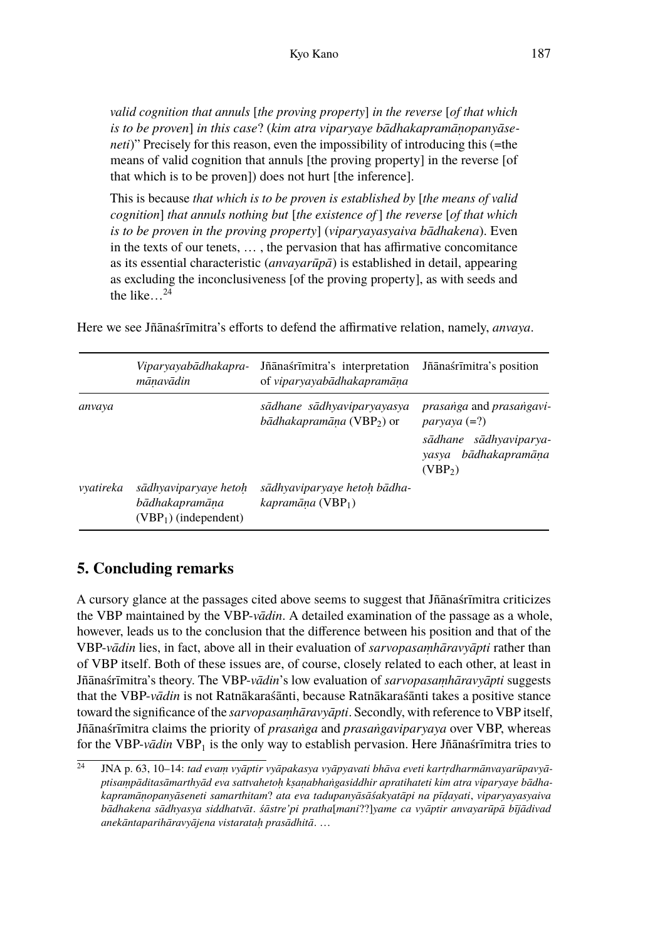*valid cognition that annuls* [*the proving property*] *in the reverse* [*of that which is to be proven*] *in this case*? (*kim atra viparyaye bādhakapramāṇopanyāseneti*)" Precisely for this reason, even the impossibility of introducing this (=the means of valid cognition that annuls [the proving property] in the reverse [of that which is to be proven]) does not hurt [the inference].

This is because *that which is to be proven is established by* [*the means of valid cognition*] *that annuls nothing but* [*the existence of* ] *the reverse* [*of that which is to be proven in the proving property*] (*viparyayasyaiva bādhakena*). Even in the texts of our tenets, … , the pervasion that has affirmative concomitance as its essential characteristic (*anvayarūpā*) is established in detail, appearing as excluding the inconclusiveness [of the proving property], as with seeds and the like…<sup>24</sup>

|           | Viparyayabādhakapra-<br>mānavādin                                 | Jñānaśrīmitra's interpretation<br>of viparyayabādhakapramāna                      | Jñānaśrīmitra's position                                                                                               |
|-----------|-------------------------------------------------------------------|-----------------------------------------------------------------------------------|------------------------------------------------------------------------------------------------------------------------|
| anvaya    |                                                                   | sādhane sādhyaviparyayasya<br>$b\bar{a}dhakapram\bar{a}na$ (VBP <sub>2</sub> ) or | prasanga and prasangavi-<br>$paryaya (=?)$<br>sādhane sādhyaviparya-<br>bādhakapramāna<br>yasya<br>(VBP <sub>2</sub> ) |
| vyatireka | sādhyaviparyaye hetoh<br>bādhakapramāna<br>$(VBP1)$ (independent) | sādhyaviparyaye hetoh bādha-<br>kapramāna (VBP <sub>1</sub> )                     |                                                                                                                        |

Here we see Jñānaśrīmitra's efforts to defend the affirmative relation, namely, *anvaya*.

## **5. Concluding remarks**

A cursory glance at the passages cited above seems to suggest that Jñānaśrīmitra criticizes the VBP maintained by the VBP-*vādin*. A detailed examination of the passage as a whole, however, leads us to the conclusion that the difference between his position and that of the VBP-*vādin* lies, in fact, above all in their evaluation of *sarvopasaṃhāravyāpti* rather than of VBP itself. Both of these issues are, of course, closely related to each other, at least in Jñānaśrīmitra's theory. The VBP-*vādin*'s low evaluation of *sarvopasaṃhāravyāpti* suggests that the VBP-*vādin* is not Ratnākaraśānti, because Ratnākaraśānti takes a positive stance toward the significance of the *sarvopasaṃhāravyāpti*. Secondly, with reference to VBP itself, Jñānaśrīmitra claims the priority of *prasaṅga* and *prasaṅgaviparyaya* over VBP, whereas for the VBP-*vādin* VBP<sub>1</sub> is the only way to establish pervasion. Here Jñānaśrīmitra tries to

<sup>24</sup> JNA p. 63, 10–14: *tad evaṃ vyāptir vyāpakasya vyāpyavati bhāva eveti kartṛdharmānvayarūpavyāptisaṃpāditasāmarthyād eva sattvahetoḥ kṣaṇabhaṅgasiddhir apratihateti kim atra viparyaye bādhakapramāṇopanyāseneti samarthitam*? *ata eva tadupanyāsāśakyatāpi na pīḍayati*, *viparyayasyaiva bādhakena sādhyasya siddhatvāt*. *śāstre'pi pratha*[*mani*??]*yame ca vyāptir anvayarūpā bījādivad anekāntaparihāravyājena vistarataḥ prasādhitā*. …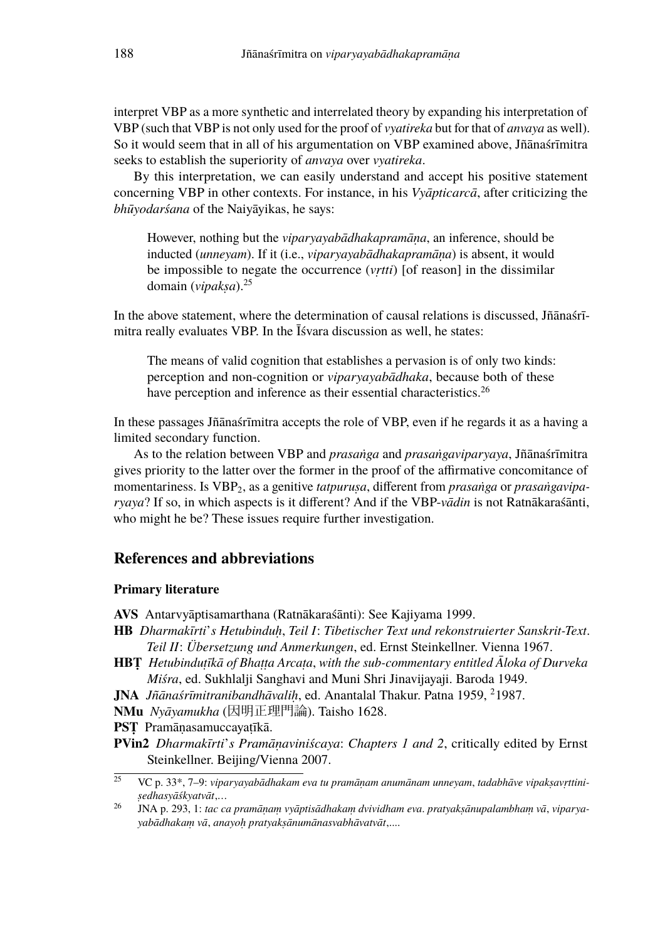interpret VBP as a more synthetic and interrelated theory by expanding his interpretation of VBP (such that VBP is not only used for the proof of *vyatireka* but for that of *anvaya* as well). So it would seem that in all of his argumentation on VBP examined above, Jñānaśrīmitra seeks to establish the superiority of *anvaya* over *vyatireka*.

By this interpretation, we can easily understand and accept his positive statement concerning VBP in other contexts. For instance, in his *Vyāpticarcā*, after criticizing the *bhūyodarśana* of the Naiyāyikas, he says:

However, nothing but the *viparyayabādhakapramāṇa*, an inference, should be inducted (*unneyam*). If it (i.e., *viparyayabādhakapramāṇa*) is absent, it would be impossible to negate the occurrence (*vṛtti*) [of reason] in the dissimilar domain (*vipakṣa*).<sup>25</sup>

In the above statement, where the determination of causal relations is discussed, Jñānaśrīmitra really evaluates VBP. In the Īśvara discussion as well, he states:

The means of valid cognition that establishes a pervasion is of only two kinds: perception and non-cognition or *viparyayabādhaka*, because both of these have perception and inference as their essential characteristics.<sup>26</sup>

In these passages Jñānaśrīmitra accepts the role of VBP, even if he regards it as a having a limited secondary function.

As to the relation between VBP and *prasaṅga* and *prasaṅgaviparyaya*, Jñānaśrīmitra gives priority to the latter over the former in the proof of the affirmative concomitance of momentariness. Is VBP<sub>2</sub>, as a genitive *tatpurusa*, different from *prasanga* or *prasangaviparyaya*? If so, in which aspects is it different? And if the VBP-*vādin* is not Ratnākaraśānti, who might he be? These issues require further investigation.

#### **References and abbreviations**

#### **Primary literature**

**AVS** Antarvyāptisamarthana (Ratnākaraśānti): See Kajiyama 1999.

- **HB** *Dharmakīrti*'*s Hetubinduḥ*, *Teil I*: *Tibetischer Text und rekonstruierter Sanskrit-Text*. *Teil II*: *Übersetzung und Anmerkungen*, ed. Ernst Steinkellner. Vienna 1967.
- **HBṬ** *Hetubinduṭīkā of Bhaṭṭa Arcaṭa*, *with the sub-commentary entitled Āloka of Durveka Miśra*, ed. Sukhlalji Sanghavi and Muni Shri Jinavijayaji. Baroda 1949.
- **JNA** *Jñānaśrīmitranibandhāvaliḥ*, ed. Anantalal Thakur. Patna 1959, <sup>2</sup>1987.
- **NMu** *Nyāyamukha* (因明正理門論). Taisho 1628.
- **PSṬ** Pramāṇasamuccayaṭīkā.
- **PVin2** *Dharmakīrti*'*s Pramāṇaviniścaya*: *Chapters 1 and 2*, critically edited by Ernst Steinkellner. Beijing/Vienna 2007.

<sup>25</sup> VC p. 33\*, 7–9: *viparyayabādhakam eva tu pramāṇam anumānam unneyam*, *tadabhāve vipakṣavṛttiniṣedhasyāśkyatvāt*,*…*

<sup>26</sup> JNA p. 293, 1: *tac ca pramāṇaṃ vyāptisādhakaṃ dvividham eva*. *pratyakṣānupalambhaṃ vā*, *viparyayabādhakaṃ vā*, *anayoḥ pratyakṣānumānasvabhāvatvāt*,....